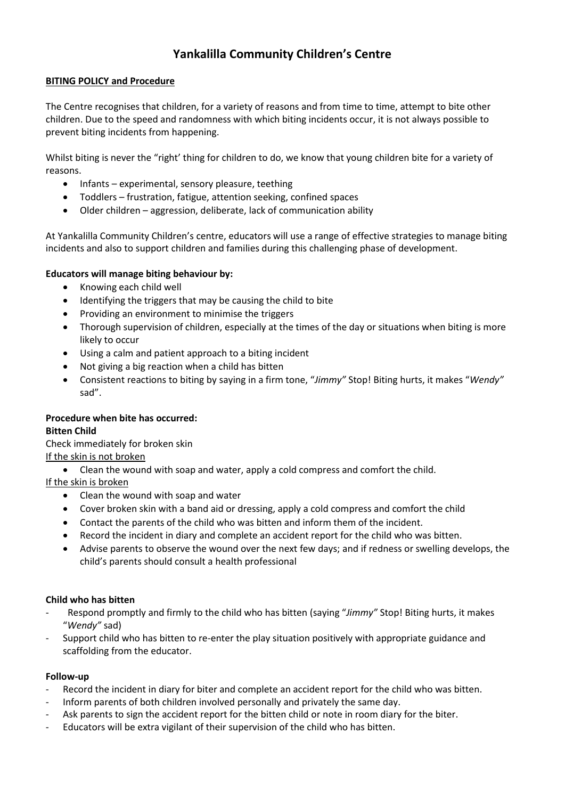# **Yankalilla Community Children's Centre**

## **BITING POLICY and Procedure**

The Centre recognises that children, for a variety of reasons and from time to time, attempt to bite other children. Due to the speed and randomness with which biting incidents occur, it is not always possible to prevent biting incidents from happening.

Whilst biting is never the "right' thing for children to do, we know that young children bite for a variety of reasons.

- Infants experimental, sensory pleasure, teething
- Toddlers frustration, fatigue, attention seeking, confined spaces
- Older children aggression, deliberate, lack of communication ability

At Yankalilla Community Children's centre, educators will use a range of effective strategies to manage biting incidents and also to support children and families during this challenging phase of development.

### **Educators will manage biting behaviour by:**

- Knowing each child well
- Identifying the triggers that may be causing the child to bite
- Providing an environment to minimise the triggers
- Thorough supervision of children, especially at the times of the day or situations when biting is more likely to occur
- Using a calm and patient approach to a biting incident
- Not giving a big reaction when a child has bitten
- Consistent reactions to biting by saying in a firm tone, "*Jimmy"* Stop! Biting hurts, it makes "*Wendy"* sad".

## **Procedure when bite has occurred:**

#### **Bitten Child**

Check immediately for broken skin

## If the skin is not broken

Clean the wound with soap and water, apply a cold compress and comfort the child.

If the skin is broken

- Clean the wound with soap and water
- Cover broken skin with a band aid or dressing, apply a cold compress and comfort the child
- Contact the parents of the child who was bitten and inform them of the incident.
- Record the incident in diary and complete an accident report for the child who was bitten.
- Advise parents to observe the wound over the next few days; and if redness or swelling develops, the child's parents should consult a health professional

#### **Child who has bitten**

- Respond promptly and firmly to the child who has bitten (saying "*Jimmy"* Stop! Biting hurts, it makes "*Wendy"* sad)
- Support child who has bitten to re-enter the play situation positively with appropriate guidance and scaffolding from the educator.

#### **Follow-up**

- Record the incident in diary for biter and complete an accident report for the child who was bitten.
- Inform parents of both children involved personally and privately the same day.
- Ask parents to sign the accident report for the bitten child or note in room diary for the biter.
- Educators will be extra vigilant of their supervision of the child who has bitten.